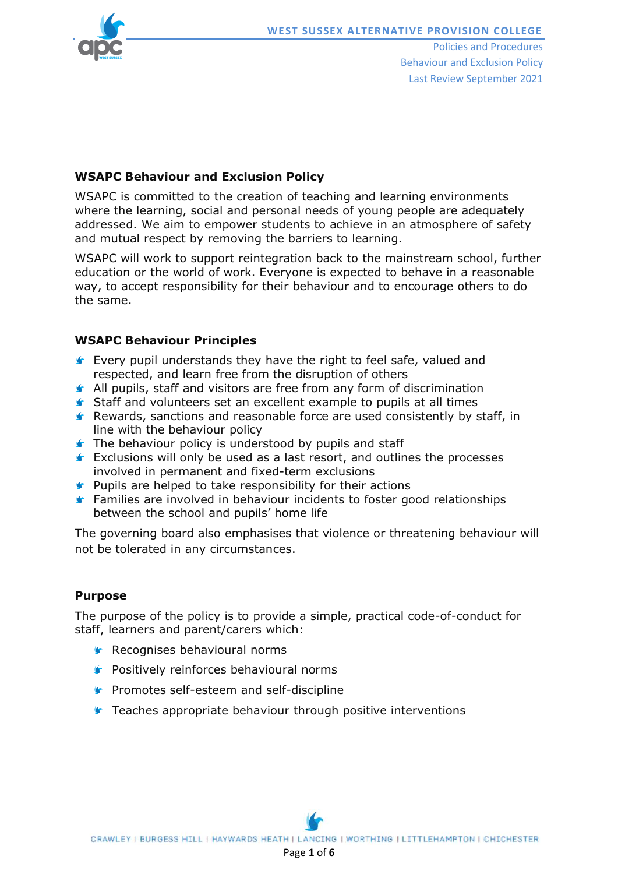

Policies and Procedures Behaviour and Exclusion Policy Last Review September 2021

# **WSAPC Behaviour and Exclusion Policy**

WSAPC is committed to the creation of teaching and learning environments where the learning, social and personal needs of young people are adequately addressed. We aim to empower students to achieve in an atmosphere of safety and mutual respect by removing the barriers to learning.

WSAPC will work to support reintegration back to the mainstream school, further education or the world of work. Everyone is expected to behave in a reasonable way, to accept responsibility for their behaviour and to encourage others to do the same.

# **WSAPC Behaviour Principles**

- **Exery pupil understands they have the right to feel safe, valued and** respected, and learn free from the disruption of others
- **All pupils, staff and visitors are free from any form of discrimination**
- Staff and volunteers set an excellent example to pupils at all times
- $\blacktriangleright$  Rewards, sanctions and reasonable force are used consistently by staff, in line with the behaviour policy
- **The behaviour policy is understood by pupils and staff**
- **Exclusions will only be used as a last resort, and outlines the processes** involved in permanent and fixed-term exclusions
- **Pupils are helped to take responsibility for their actions**
- **Families are involved in behaviour incidents to foster good relationships** between the school and pupils' home life

The governing board also emphasises that violence or threatening behaviour will not be tolerated in any circumstances.

## **Purpose**

The purpose of the policy is to provide a simple, practical code-of-conduct for staff, learners and parent/carers which:

- Recognises behavioural norms
- **F** Positively reinforces behavioural norms
- **Promotes self-esteem and self-discipline**
- **F** Teaches appropriate behaviour through positive interventions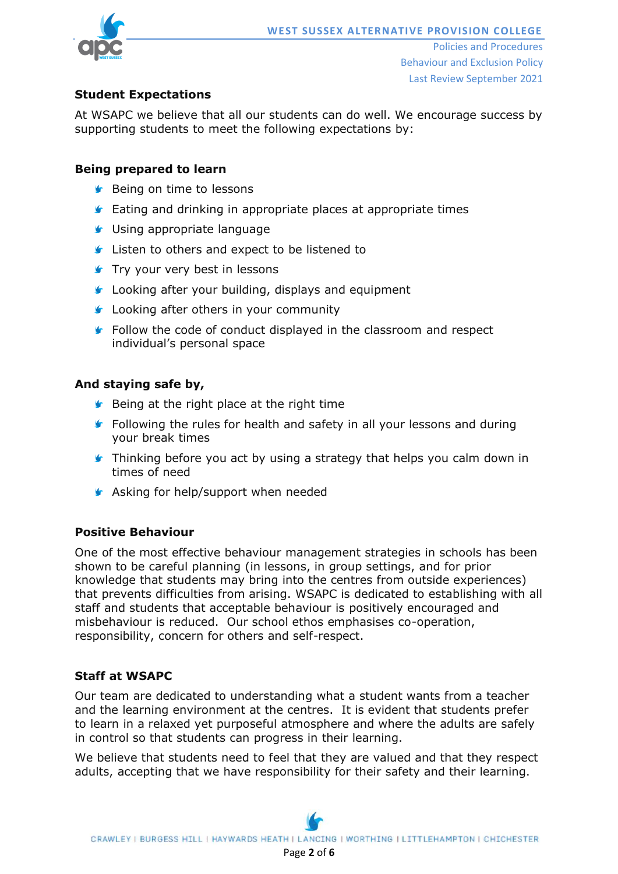

# **Student Expectations**

At WSAPC we believe that all our students can do well. We encourage success by supporting students to meet the following expectations by:

## **Being prepared to learn**

- **S** Being on time to lessons
- **Eating and drinking in appropriate places at appropriate times**
- **S** Using appropriate language
- **Listen to others and expect to be listened to**
- **Try your very best in lessons**
- **C** Looking after your building, displays and equipment
- **C** Looking after others in your community
- **F** Follow the code of conduct displayed in the classroom and respect individual's personal space

### **And staying safe by,**

- $\blacktriangleright$  Being at the right place at the right time
- **F** Following the rules for health and safety in all your lessons and during your break times
- **Thinking before you act by using a strategy that helps you calm down in** times of need
- **Asking for help/support when needed**

# **Positive Behaviour**

One of the most effective behaviour management strategies in schools has been shown to be careful planning (in lessons, in group settings, and for prior knowledge that students may bring into the centres from outside experiences) that prevents difficulties from arising. WSAPC is dedicated to establishing with all staff and students that acceptable behaviour is positively encouraged and misbehaviour is reduced. Our school ethos emphasises co-operation, responsibility, concern for others and self-respect.

## **Staff at WSAPC**

Our team are dedicated to understanding what a student wants from a teacher and the learning environment at the centres. It is evident that students prefer to learn in a relaxed yet purposeful atmosphere and where the adults are safely in control so that students can progress in their learning.

We believe that students need to feel that they are valued and that they respect adults, accepting that we have responsibility for their safety and their learning.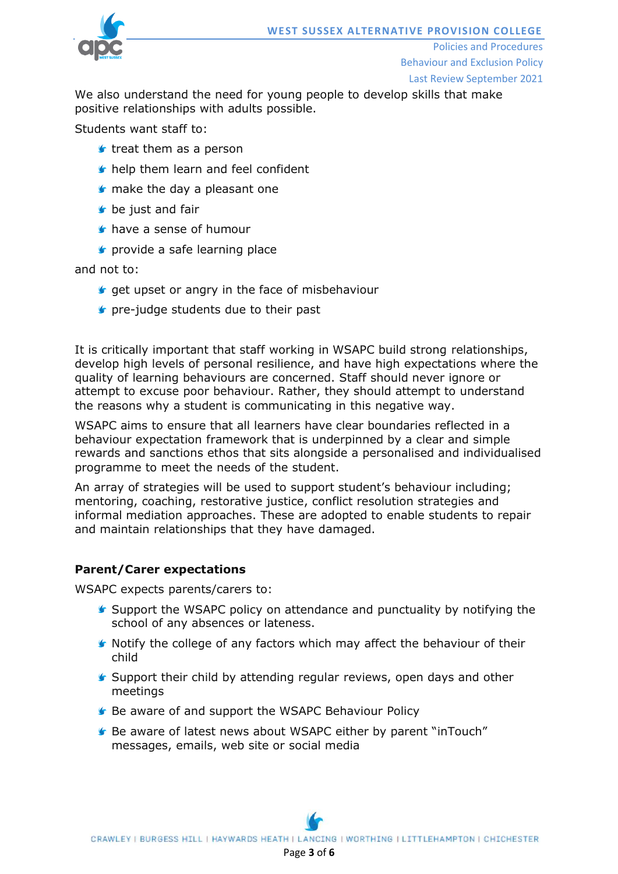

Policies and Procedures Behaviour and Exclusion Policy

Last Review September 2021

We also understand the need for young people to develop skills that make positive relationships with adults possible.

Students want staff to:

- $\triangleright$  treat them as a person
- help them learn and feel confident
- **I** make the day a pleasant one
- **b** be just and fair
- have a sense of humour
- **s** provide a safe learning place

and not to:

- $\bullet$  get upset or angry in the face of misbehaviour
- **F** pre-judge students due to their past

It is critically important that staff working in WSAPC build strong relationships, develop high levels of personal resilience, and have high expectations where the quality of learning behaviours are concerned. Staff should never ignore or attempt to excuse poor behaviour. Rather, they should attempt to understand the reasons why a student is communicating in this negative way.

WSAPC aims to ensure that all learners have clear boundaries reflected in a behaviour expectation framework that is underpinned by a clear and simple rewards and sanctions ethos that sits alongside a personalised and individualised programme to meet the needs of the student.

An array of strategies will be used to support student's behaviour including; mentoring, coaching, restorative justice, conflict resolution strategies and informal mediation approaches. These are adopted to enable students to repair and maintain relationships that they have damaged.

#### **Parent/Carer expectations**

WSAPC expects parents/carers to:

- Support the WSAPC policy on attendance and punctuality by notifying the school of any absences or lateness.
- $\blacktriangleright$  Notify the college of any factors which may affect the behaviour of their child
- $\blacktriangleright$  Support their child by attending regular reviews, open days and other meetings
- Be aware of and support the WSAPC Behaviour Policy
- **G** Be aware of latest news about WSAPC either by parent "inTouch" messages, emails, web site or social media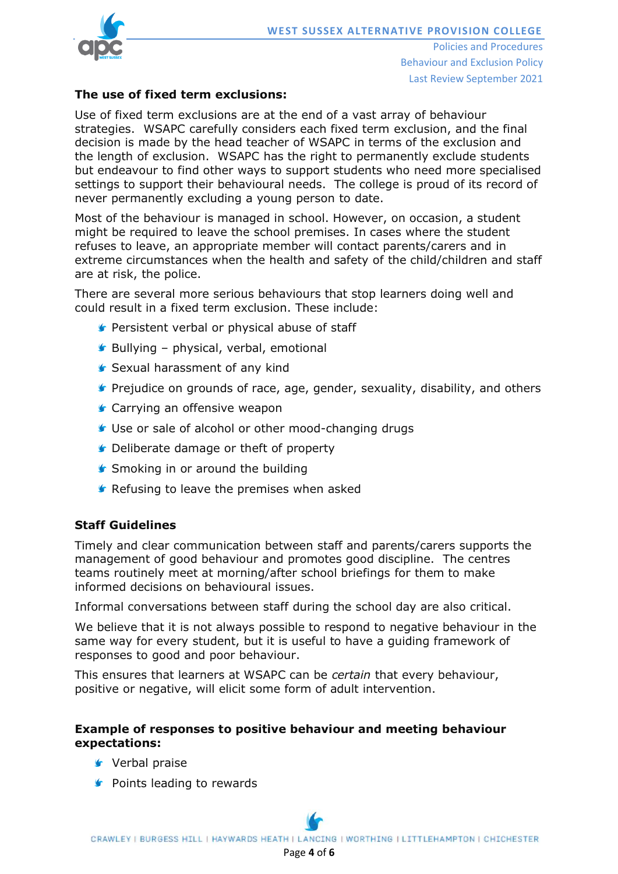

Policies and Procedures Behaviour and Exclusion Policy Last Review September 2021

#### **The use of fixed term exclusions:**

Use of fixed term exclusions are at the end of a vast array of behaviour strategies. WSAPC carefully considers each fixed term exclusion, and the final decision is made by the head teacher of WSAPC in terms of the exclusion and the length of exclusion. WSAPC has the right to permanently exclude students but endeavour to find other ways to support students who need more specialised settings to support their behavioural needs. The college is proud of its record of never permanently excluding a young person to date.

Most of the behaviour is managed in school. However, on occasion, a student might be required to leave the school premises. In cases where the student refuses to leave, an appropriate member will contact parents/carers and in extreme circumstances when the health and safety of the child/children and staff are at risk, the police.

There are several more serious behaviours that stop learners doing well and could result in a fixed term exclusion. These include:

- **Persistent verbal or physical abuse of staff**
- $\blacktriangleright$  Bullying physical, verbal, emotional
- Sexual harassment of any kind
- **F** Prejudice on grounds of race, age, gender, sexuality, disability, and others
- **■** Carrying an offensive weapon
- Use or sale of alcohol or other mood-changing drugs
- **C** Deliberate damage or theft of property
- **■** Smoking in or around the building
- **F** Refusing to leave the premises when asked

#### **Staff Guidelines**

Timely and clear communication between staff and parents/carers supports the management of good behaviour and promotes good discipline. The centres teams routinely meet at morning/after school briefings for them to make informed decisions on behavioural issues.

Informal conversations between staff during the school day are also critical.

We believe that it is not always possible to respond to negative behaviour in the same way for every student, but it is useful to have a guiding framework of responses to good and poor behaviour.

This ensures that learners at WSAPC can be *certain* that every behaviour, positive or negative, will elicit some form of adult intervention.

#### **Example of responses to positive behaviour and meeting behaviour expectations:**

- **v** Verbal praise
- **S** Points leading to rewards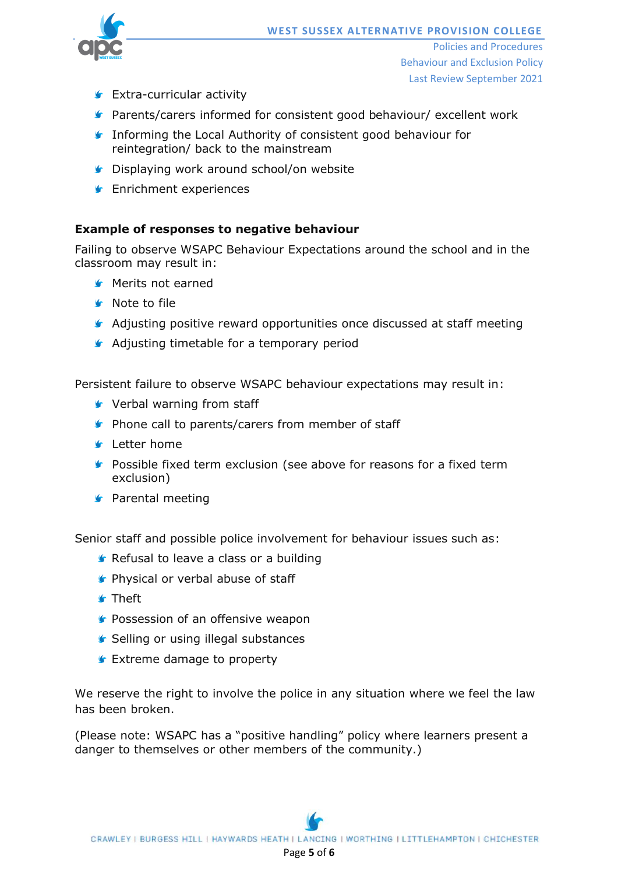Policies and Procedures Behaviour and Exclusion Policy Last Review September 2021

- **Extra-curricular activity**
- **Parents/carers informed for consistent good behaviour/ excellent work**
- **Informing the Local Authority of consistent good behaviour for** reintegration/ back to the mainstream
- **C** Displaying work around school/on website
- **F** Enrichment experiences

## **Example of responses to negative behaviour**

Failing to observe WSAPC Behaviour Expectations around the school and in the classroom may result in:

- **S** Merits not earned
- **G** Note to file
- Adjusting positive reward opportunities once discussed at staff meeting
- **Adjusting timetable for a temporary period**

Persistent failure to observe WSAPC behaviour expectations may result in:

- Verbal warning from staff
- **Phone call to parents/carers from member of staff**
- **S** Letter home
- **Possible fixed term exclusion (see above for reasons for a fixed term** exclusion)
- **S** Parental meeting

Senior staff and possible police involvement for behaviour issues such as:

- **Refusal to leave a class or a building**
- **Physical or verbal abuse of staff**
- **f** Theft
- **Possession of an offensive weapon**
- **■** Selling or using illegal substances
- **F** Extreme damage to property

We reserve the right to involve the police in any situation where we feel the law has been broken.

(Please note: WSAPC has a "positive handling" policy where learners present a danger to themselves or other members of the community.)